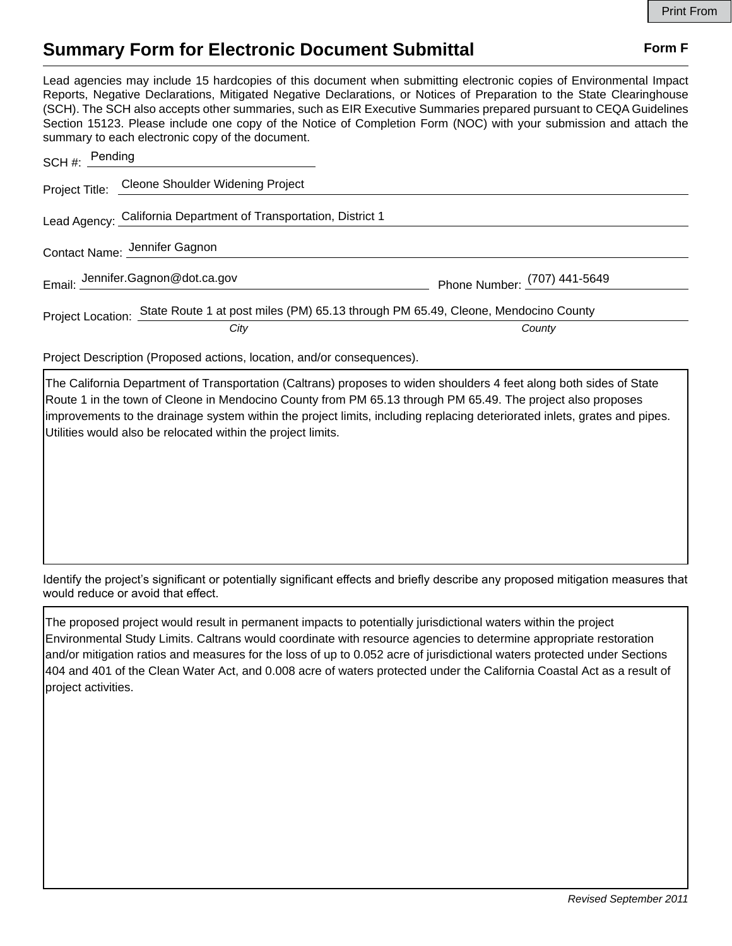## **Summary Form for Electronic Document Submittal Form F Form F**

Lead agencies may include 15 hardcopies of this document when submitting electronic copies of Environmental Impact Reports, Negative Declarations, Mitigated Negative Declarations, or Notices of Preparation to the State Clearinghouse (SCH). The SCH also accepts other summaries, such as EIR Executive Summaries prepared pursuant to CEQA Guidelines Section 15123. Please include one copy of the Notice of Completion Form (NOC) with your submission and attach the summary to each electronic copy of the document.

| SCH #: Pending                |                                                                                                             |                              |
|-------------------------------|-------------------------------------------------------------------------------------------------------------|------------------------------|
|                               | Project Title: Cleone Shoulder Widening Project                                                             |                              |
|                               | Lead Agency: California Department of Transportation, District 1                                            |                              |
| Contact Name: Jennifer Gagnon |                                                                                                             |                              |
|                               | Email: Jennifer.Gagnon@dot.ca.gov                                                                           | Phone Number: (707) 441-5649 |
|                               | Project Location: State Route 1 at post miles (PM) 65.13 through PM 65.49, Cleone, Mendocino County<br>City | County                       |
|                               |                                                                                                             |                              |

Project Description (Proposed actions, location, and/or consequences).

The California Department of Transportation (Caltrans) proposes to widen shoulders 4 feet along both sides of State Route 1 in the town of Cleone in Mendocino County from PM 65.13 through PM 65.49. The project also proposes improvements to the drainage system within the project limits, including replacing deteriorated inlets, grates and pipes. Utilities would also be relocated within the project limits.

Identify the project's significant or potentially significant effects and briefly describe any proposed mitigation measures that would reduce or avoid that effect.

The proposed project would result in permanent impacts to potentially jurisdictional waters within the project Environmental Study Limits. Caltrans would coordinate with resource agencies to determine appropriate restoration and/or mitigation ratios and measures for the loss of up to 0.052 acre of jurisdictional waters protected under Sections 404 and 401 of the Clean Water Act, and 0.008 acre of waters protected under the California Coastal Act as a result of project activities.